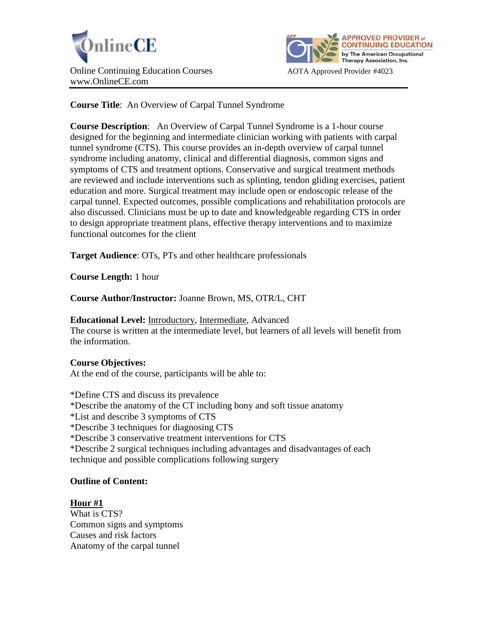



**Course Title**: An Overview of Carpal Tunnel Syndrome

**Course Description**: An Overview of Carpal Tunnel Syndrome is a 1-hour course designed for the beginning and intermediate clinician working with patients with carpal tunnel syndrome (CTS). This course provides an in-depth overview of carpal tunnel syndrome including anatomy, clinical and differential diagnosis, common signs and symptoms of CTS and treatment options. Conservative and surgical treatment methods are reviewed and include interventions such as splinting, tendon gliding exercises, patient education and more. Surgical treatment may include open or endoscopic release of the carpal tunnel. Expected outcomes, possible complications and rehabilitation protocols are also discussed. Clinicians must be up to date and knowledgeable regarding CTS in order to design appropriate treatment plans, effective therapy interventions and to maximize functional outcomes for the client

**Target Audience**: OTs, PTs and other healthcare professionals

**Course Length:** 1 hour

**Course Author/Instructor:** Joanne Brown, MS, OTR/L, CHT

**Educational Level:** Introductory, Intermediate, Advanced The course is written at the intermediate level, but learners of all levels will benefit from the information.

# **Course Objectives:**

At the end of the course, participants will be able to:

\*Define CTS and discuss its prevalence \*Describe the anatomy of the CT including bony and soft tissue anatomy \*List and describe 3 symptoms of CTS \*Describe 3 techniques for diagnosing CTS \*Describe 3 conservative treatment interventions for CTS \*Describe 2 surgical techniques including advantages and disadvantages of each technique and possible complications following surgery

# **Outline of Content:**

**Hour #1** What is CTS? Common signs and symptoms Causes and risk factors Anatomy of the carpal tunnel